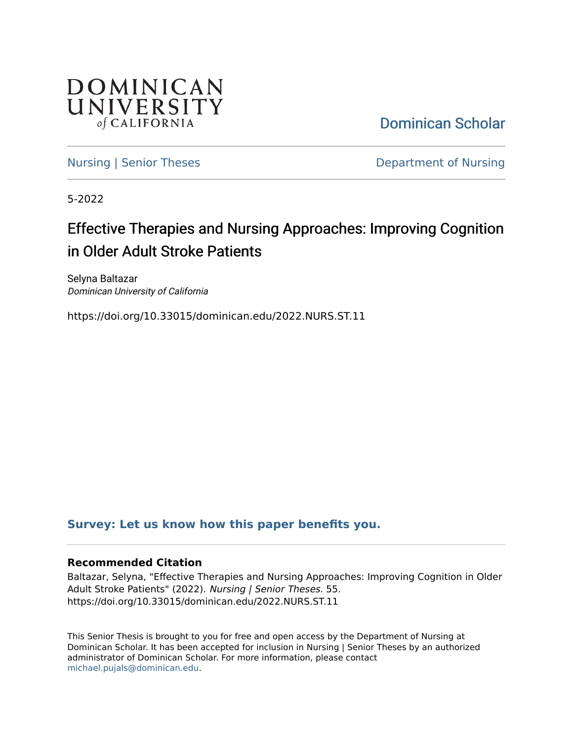

[Dominican Scholar](https://scholar.dominican.edu/) 

[Nursing | Senior Theses](https://scholar.dominican.edu/nursing-senior-theses) **Department of Nursing** 

5-2022

# Effective Therapies and Nursing Approaches: Improving Cognition in Older Adult Stroke Patients

Selyna Baltazar Dominican University of California

https://doi.org/10.33015/dominican.edu/2022.NURS.ST.11

### **[Survey: Let us know how this paper benefits you.](https://dominican.libwizard.com/dominican-scholar-feedback)**

#### **Recommended Citation**

Baltazar, Selyna, "Effective Therapies and Nursing Approaches: Improving Cognition in Older Adult Stroke Patients" (2022). Nursing | Senior Theses. 55. https://doi.org/10.33015/dominican.edu/2022.NURS.ST.11

This Senior Thesis is brought to you for free and open access by the Department of Nursing at Dominican Scholar. It has been accepted for inclusion in Nursing | Senior Theses by an authorized administrator of Dominican Scholar. For more information, please contact [michael.pujals@dominican.edu.](mailto:michael.pujals@dominican.edu)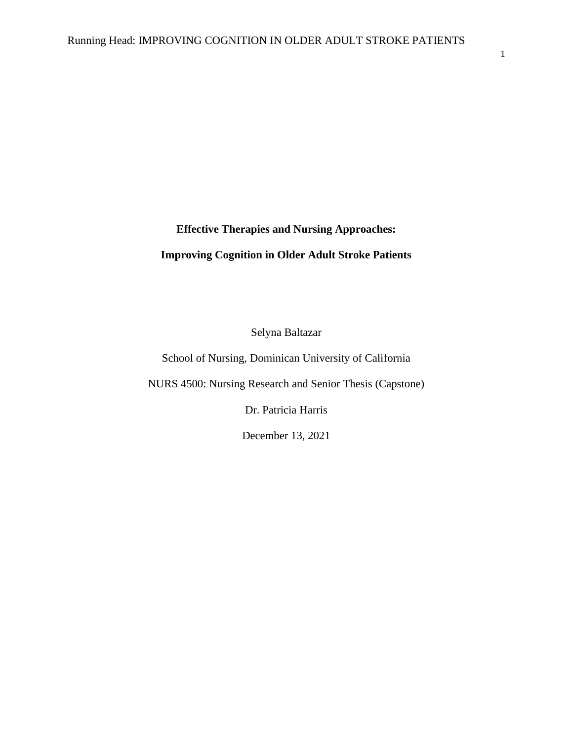# **Effective Therapies and Nursing Approaches:**

### **Improving Cognition in Older Adult Stroke Patients**

Selyna Baltazar

School of Nursing, Dominican University of California

NURS 4500: Nursing Research and Senior Thesis (Capstone)

Dr. Patricia Harris

December 13, 2021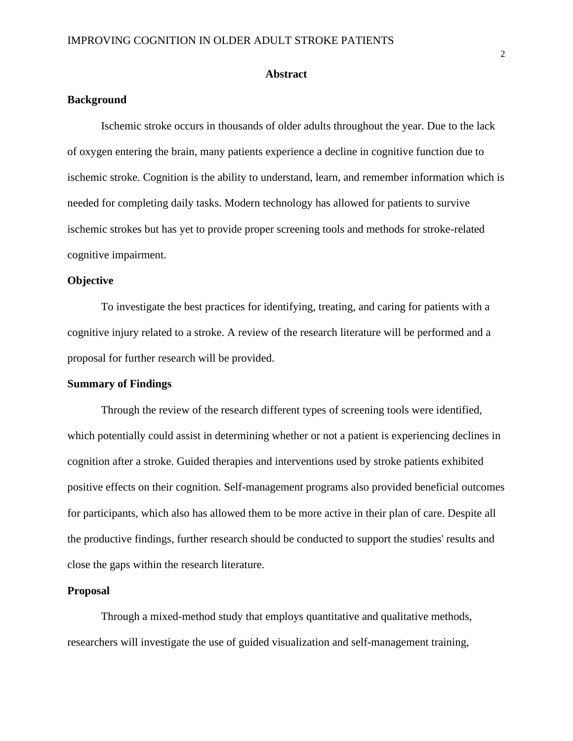#### **Abstract**

#### **Background**

Ischemic stroke occurs in thousands of older adults throughout the year. Due to the lack of oxygen entering the brain, many patients experience a decline in cognitive function due to ischemic stroke. Cognition is the ability to understand, learn, and remember information which is needed for completing daily tasks. Modern technology has allowed for patients to survive ischemic strokes but has yet to provide proper screening tools and methods for stroke-related cognitive impairment.

#### **Objective**

To investigate the best practices for identifying, treating, and caring for patients with a cognitive injury related to a stroke. A review of the research literature will be performed and a proposal for further research will be provided.

#### **Summary of Findings**

Through the review of the research different types of screening tools were identified, which potentially could assist in determining whether or not a patient is experiencing declines in cognition after a stroke. Guided therapies and interventions used by stroke patients exhibited positive effects on their cognition. Self-management programs also provided beneficial outcomes for participants, which also has allowed them to be more active in their plan of care. Despite all the productive findings, further research should be conducted to support the studies' results and close the gaps within the research literature.

#### **Proposal**

Through a mixed-method study that employs quantitative and qualitative methods, researchers will investigate the use of guided visualization and self-management training,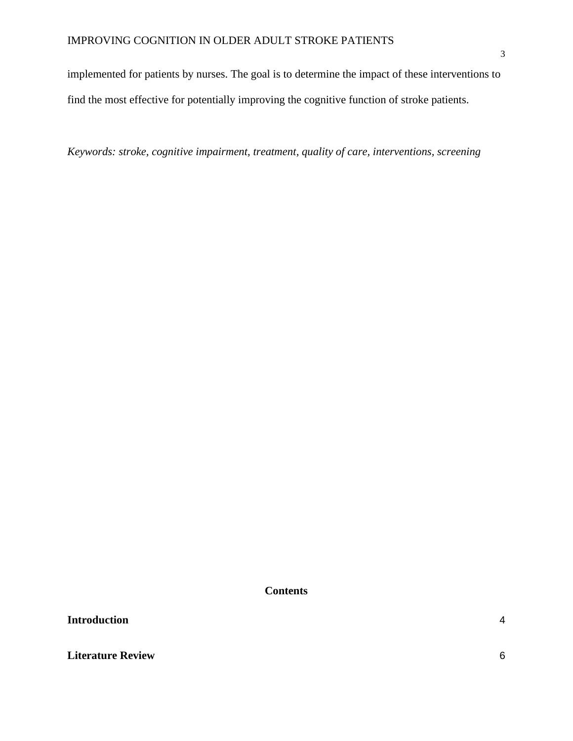implemented for patients by nurses. The goal is to determine the impact of these interventions to find the most effective for potentially improving the cognitive function of stroke patients.

*Keywords: stroke, cognitive impairment, treatment, quality of care, interventions, screening*

**Contents**

**[Introduction](#page-4-0)** 4

**[Literature Review](#page-6-0)** 6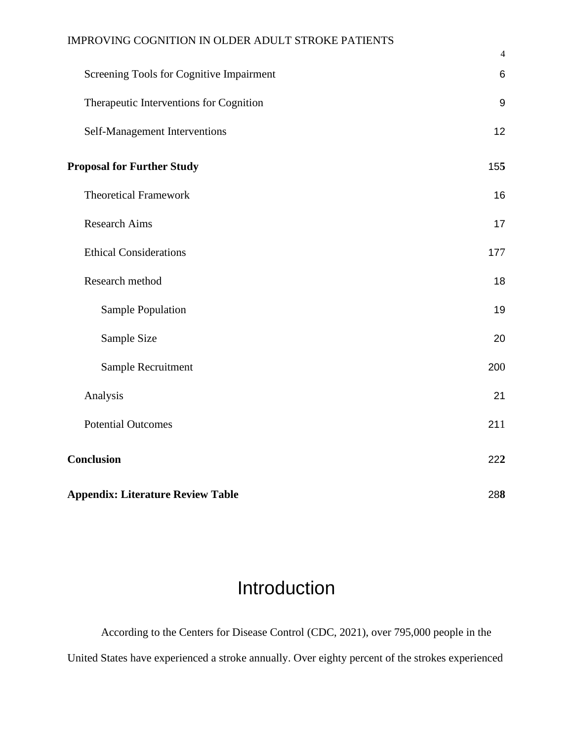|                                          | $\overline{4}$   |
|------------------------------------------|------------------|
| Screening Tools for Cognitive Impairment | 6                |
| Therapeutic Interventions for Cognition  | $\boldsymbol{9}$ |
| Self-Management Interventions            | 12               |
| <b>Proposal for Further Study</b>        | 155              |
| <b>Theoretical Framework</b>             | 16               |
| <b>Research Aims</b>                     | 17               |
| <b>Ethical Considerations</b>            | 177              |
| Research method                          | 18               |
| Sample Population                        | 19               |
| Sample Size                              | 20               |
| Sample Recruitment                       | 200              |
| Analysis                                 | 21               |
| <b>Potential Outcomes</b>                | 211              |
| Conclusion                               | 222              |
| <b>Appendix: Literature Review Table</b> | 288              |

# Introduction

<span id="page-4-0"></span>According to the Centers for Disease Control (CDC, 2021), over 795,000 people in the United States have experienced a stroke annually. Over eighty percent of the strokes experienced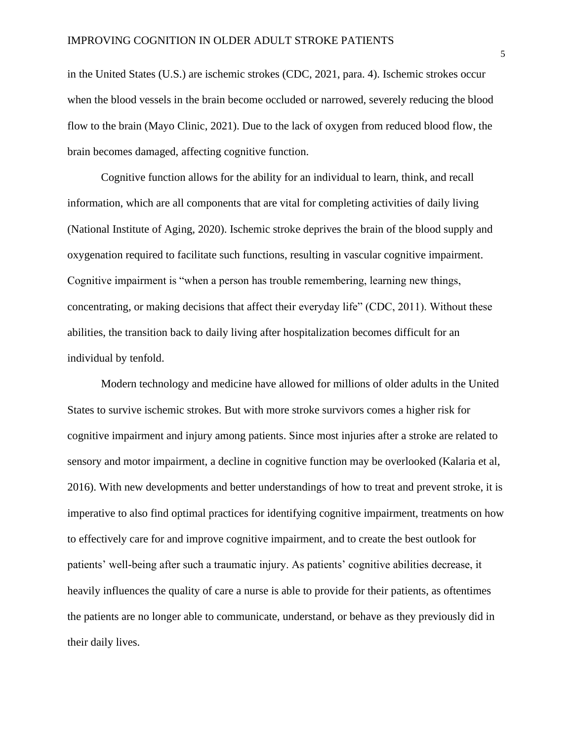in the United States (U.S.) are ischemic strokes (CDC, 2021, para. 4). Ischemic strokes occur when the blood vessels in the brain become occluded or narrowed, severely reducing the blood flow to the brain (Mayo Clinic, 2021). Due to the lack of oxygen from reduced blood flow, the brain becomes damaged, affecting cognitive function.

Cognitive function allows for the ability for an individual to learn, think, and recall information, which are all components that are vital for completing activities of daily living (National Institute of Aging, 2020). Ischemic stroke deprives the brain of the blood supply and oxygenation required to facilitate such functions, resulting in vascular cognitive impairment. Cognitive impairment is "when a person has trouble remembering, learning new things, concentrating, or making decisions that affect their everyday life" (CDC, 2011). Without these abilities, the transition back to daily living after hospitalization becomes difficult for an individual by tenfold.

Modern technology and medicine have allowed for millions of older adults in the United States to survive ischemic strokes. But with more stroke survivors comes a higher risk for cognitive impairment and injury among patients. Since most injuries after a stroke are related to sensory and motor impairment, a decline in cognitive function may be overlooked (Kalaria et al, 2016). With new developments and better understandings of how to treat and prevent stroke, it is imperative to also find optimal practices for identifying cognitive impairment, treatments on how to effectively care for and improve cognitive impairment, and to create the best outlook for patients' well-being after such a traumatic injury. As patients' cognitive abilities decrease, it heavily influences the quality of care a nurse is able to provide for their patients, as oftentimes the patients are no longer able to communicate, understand, or behave as they previously did in their daily lives.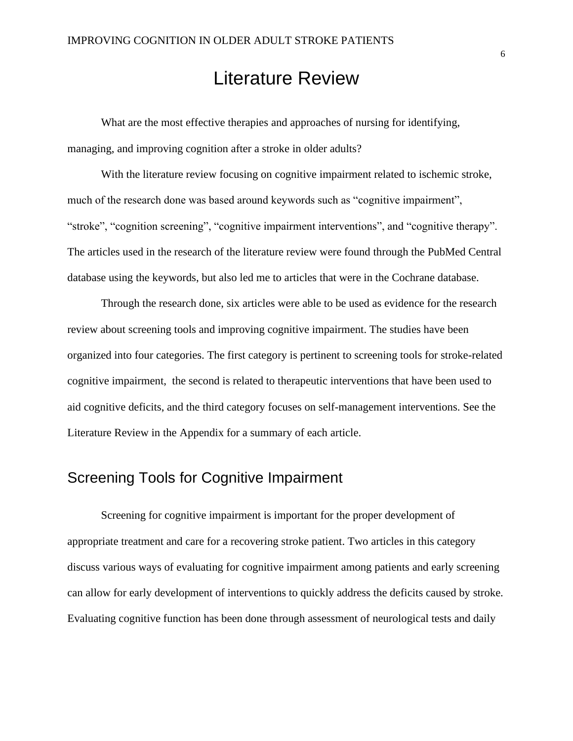# Literature Review

<span id="page-6-0"></span>What are the most effective therapies and approaches of nursing for identifying, managing, and improving cognition after a stroke in older adults?

With the literature review focusing on cognitive impairment related to ischemic stroke, much of the research done was based around keywords such as "cognitive impairment", "stroke", "cognition screening", "cognitive impairment interventions", and "cognitive therapy". The articles used in the research of the literature review were found through the PubMed Central database using the keywords, but also led me to articles that were in the Cochrane database.

Through the research done, six articles were able to be used as evidence for the research review about screening tools and improving cognitive impairment. The studies have been organized into four categories. The first category is pertinent to screening tools for stroke-related cognitive impairment, the second is related to therapeutic interventions that have been used to aid cognitive deficits, and the third category focuses on self-management interventions. See the Literature Review in the Appendix for a summary of each article.

## <span id="page-6-1"></span>Screening Tools for Cognitive Impairment

Screening for cognitive impairment is important for the proper development of appropriate treatment and care for a recovering stroke patient. Two articles in this category discuss various ways of evaluating for cognitive impairment among patients and early screening can allow for early development of interventions to quickly address the deficits caused by stroke. Evaluating cognitive function has been done through assessment of neurological tests and daily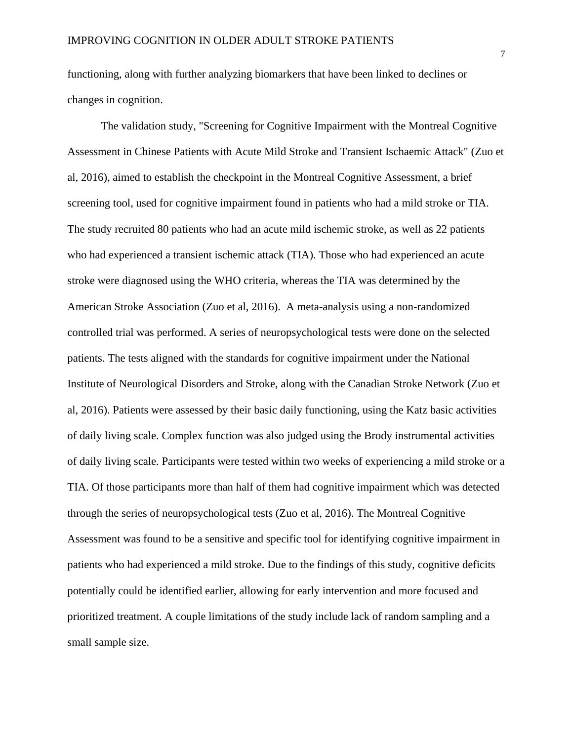functioning, along with further analyzing biomarkers that have been linked to declines or changes in cognition.

The validation study, "Screening for Cognitive Impairment with the Montreal Cognitive Assessment in Chinese Patients with Acute Mild Stroke and Transient Ischaemic Attack" (Zuo et al, 2016), aimed to establish the checkpoint in the Montreal Cognitive Assessment, a brief screening tool, used for cognitive impairment found in patients who had a mild stroke or TIA. The study recruited 80 patients who had an acute mild ischemic stroke, as well as 22 patients who had experienced a transient ischemic attack (TIA). Those who had experienced an acute stroke were diagnosed using the WHO criteria, whereas the TIA was determined by the American Stroke Association (Zuo et al, 2016). A meta-analysis using a non-randomized controlled trial was performed. A series of neuropsychological tests were done on the selected patients. The tests aligned with the standards for cognitive impairment under the National Institute of Neurological Disorders and Stroke, along with the Canadian Stroke Network (Zuo et al, 2016). Patients were assessed by their basic daily functioning, using the Katz basic activities of daily living scale. Complex function was also judged using the Brody instrumental activities of daily living scale. Participants were tested within two weeks of experiencing a mild stroke or a TIA. Of those participants more than half of them had cognitive impairment which was detected through the series of neuropsychological tests (Zuo et al, 2016). The Montreal Cognitive Assessment was found to be a sensitive and specific tool for identifying cognitive impairment in patients who had experienced a mild stroke. Due to the findings of this study, cognitive deficits potentially could be identified earlier, allowing for early intervention and more focused and prioritized treatment. A couple limitations of the study include lack of random sampling and a small sample size.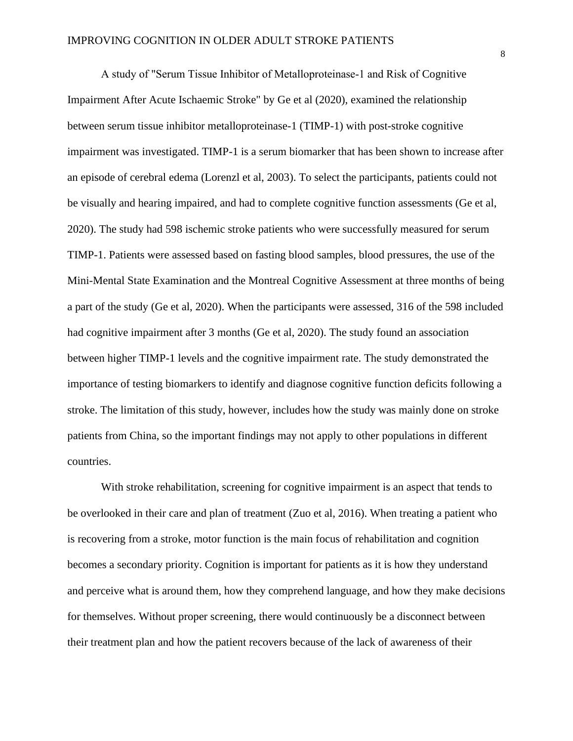A study of "Serum Tissue Inhibitor of Metalloproteinase‐1 and Risk of Cognitive Impairment After Acute Ischaemic Stroke" by Ge et al (2020), examined the relationship between serum tissue inhibitor metalloproteinase-1 (TIMP-1) with post-stroke cognitive impairment was investigated. TIMP-1 is a serum biomarker that has been shown to increase after an episode of cerebral edema (Lorenzl et al, 2003). To select the participants, patients could not be visually and hearing impaired, and had to complete cognitive function assessments (Ge et al, 2020). The study had 598 ischemic stroke patients who were successfully measured for serum TIMP-1. Patients were assessed based on fasting blood samples, blood pressures, the use of the Mini-Mental State Examination and the Montreal Cognitive Assessment at three months of being a part of the study (Ge et al, 2020). When the participants were assessed, 316 of the 598 included had cognitive impairment after 3 months (Ge et al, 2020). The study found an association between higher TIMP-1 levels and the cognitive impairment rate. The study demonstrated the importance of testing biomarkers to identify and diagnose cognitive function deficits following a stroke. The limitation of this study, however, includes how the study was mainly done on stroke patients from China, so the important findings may not apply to other populations in different countries.

With stroke rehabilitation, screening for cognitive impairment is an aspect that tends to be overlooked in their care and plan of treatment (Zuo et al, 2016). When treating a patient who is recovering from a stroke, motor function is the main focus of rehabilitation and cognition becomes a secondary priority. Cognition is important for patients as it is how they understand and perceive what is around them, how they comprehend language, and how they make decisions for themselves. Without proper screening, there would continuously be a disconnect between their treatment plan and how the patient recovers because of the lack of awareness of their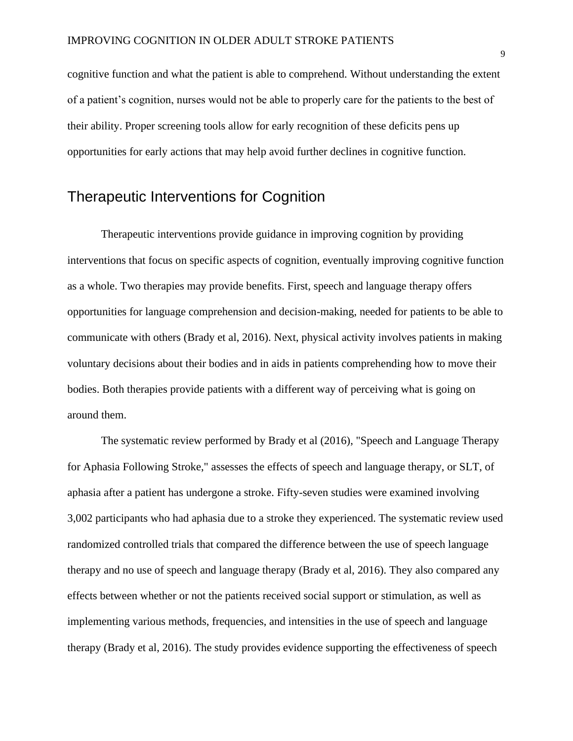cognitive function and what the patient is able to comprehend. Without understanding the extent of a patient's cognition, nurses would not be able to properly care for the patients to the best of their ability. Proper screening tools allow for early recognition of these deficits pens up opportunities for early actions that may help avoid further declines in cognitive function.

## <span id="page-9-0"></span>Therapeutic Interventions for Cognition

Therapeutic interventions provide guidance in improving cognition by providing interventions that focus on specific aspects of cognition, eventually improving cognitive function as a whole. Two therapies may provide benefits. First, speech and language therapy offers opportunities for language comprehension and decision-making, needed for patients to be able to communicate with others (Brady et al, 2016). Next, physical activity involves patients in making voluntary decisions about their bodies and in aids in patients comprehending how to move their bodies. Both therapies provide patients with a different way of perceiving what is going on around them.

The systematic review performed by Brady et al (2016), "Speech and Language Therapy for Aphasia Following Stroke," assesses the effects of speech and language therapy, or SLT, of aphasia after a patient has undergone a stroke. Fifty-seven studies were examined involving 3,002 participants who had aphasia due to a stroke they experienced. The systematic review used randomized controlled trials that compared the difference between the use of speech language therapy and no use of speech and language therapy (Brady et al, 2016). They also compared any effects between whether or not the patients received social support or stimulation, as well as implementing various methods, frequencies, and intensities in the use of speech and language therapy (Brady et al, 2016). The study provides evidence supporting the effectiveness of speech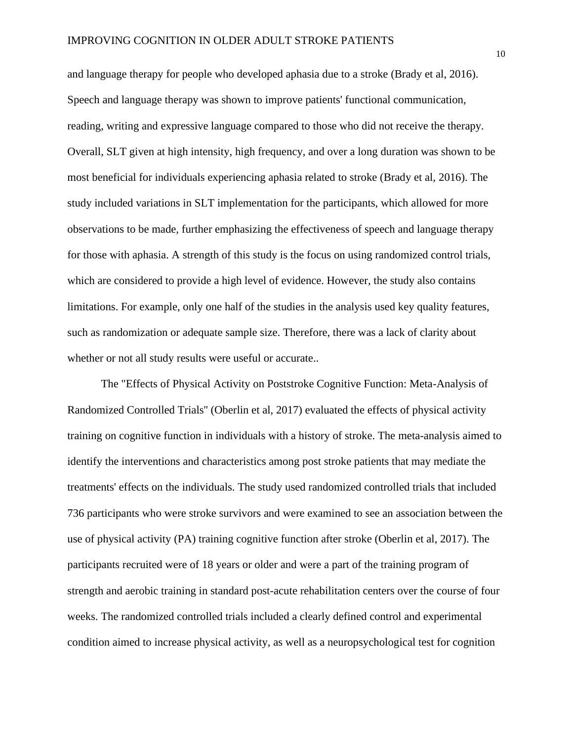and language therapy for people who developed aphasia due to a stroke (Brady et al, 2016). Speech and language therapy was shown to improve patients' functional communication, reading, writing and expressive language compared to those who did not receive the therapy. Overall, SLT given at high intensity, high frequency, and over a long duration was shown to be most beneficial for individuals experiencing aphasia related to stroke (Brady et al, 2016). The study included variations in SLT implementation for the participants, which allowed for more observations to be made, further emphasizing the effectiveness of speech and language therapy for those with aphasia. A strength of this study is the focus on using randomized control trials, which are considered to provide a high level of evidence. However, the study also contains limitations. For example, only one half of the studies in the analysis used key quality features, such as randomization or adequate sample size. Therefore, there was a lack of clarity about whether or not all study results were useful or accurate..

The "Effects of Physical Activity on Poststroke Cognitive Function: Meta-Analysis of Randomized Controlled Trials'' (Oberlin et al, 2017) evaluated the effects of physical activity training on cognitive function in individuals with a history of stroke. The meta-analysis aimed to identify the interventions and characteristics among post stroke patients that may mediate the treatments' effects on the individuals. The study used randomized controlled trials that included 736 participants who were stroke survivors and were examined to see an association between the use of physical activity (PA) training cognitive function after stroke (Oberlin et al, 2017). The participants recruited were of 18 years or older and were a part of the training program of strength and aerobic training in standard post-acute rehabilitation centers over the course of four weeks. The randomized controlled trials included a clearly defined control and experimental condition aimed to increase physical activity, as well as a neuropsychological test for cognition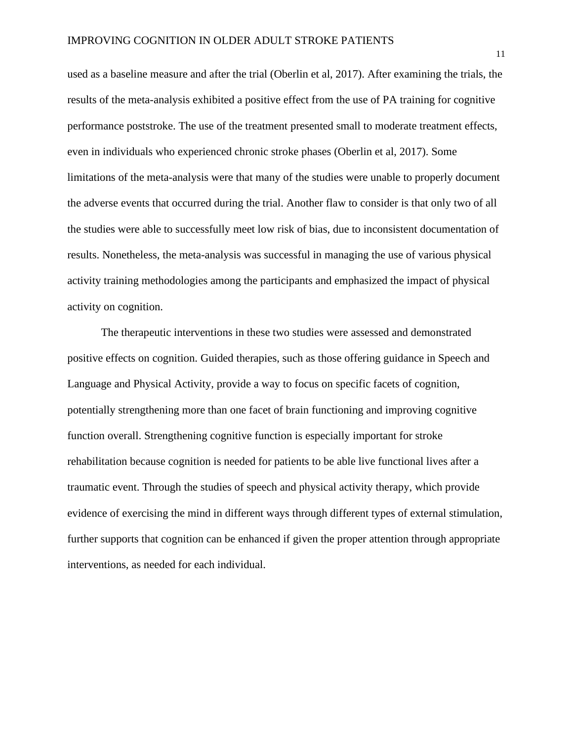used as a baseline measure and after the trial (Oberlin et al, 2017). After examining the trials, the results of the meta-analysis exhibited a positive effect from the use of PA training for cognitive performance poststroke. The use of the treatment presented small to moderate treatment effects, even in individuals who experienced chronic stroke phases (Oberlin et al, 2017). Some limitations of the meta-analysis were that many of the studies were unable to properly document the adverse events that occurred during the trial. Another flaw to consider is that only two of all the studies were able to successfully meet low risk of bias, due to inconsistent documentation of results. Nonetheless, the meta-analysis was successful in managing the use of various physical activity training methodologies among the participants and emphasized the impact of physical activity on cognition.

The therapeutic interventions in these two studies were assessed and demonstrated positive effects on cognition. Guided therapies, such as those offering guidance in Speech and Language and Physical Activity, provide a way to focus on specific facets of cognition, potentially strengthening more than one facet of brain functioning and improving cognitive function overall. Strengthening cognitive function is especially important for stroke rehabilitation because cognition is needed for patients to be able live functional lives after a traumatic event. Through the studies of speech and physical activity therapy, which provide evidence of exercising the mind in different ways through different types of external stimulation, further supports that cognition can be enhanced if given the proper attention through appropriate interventions, as needed for each individual.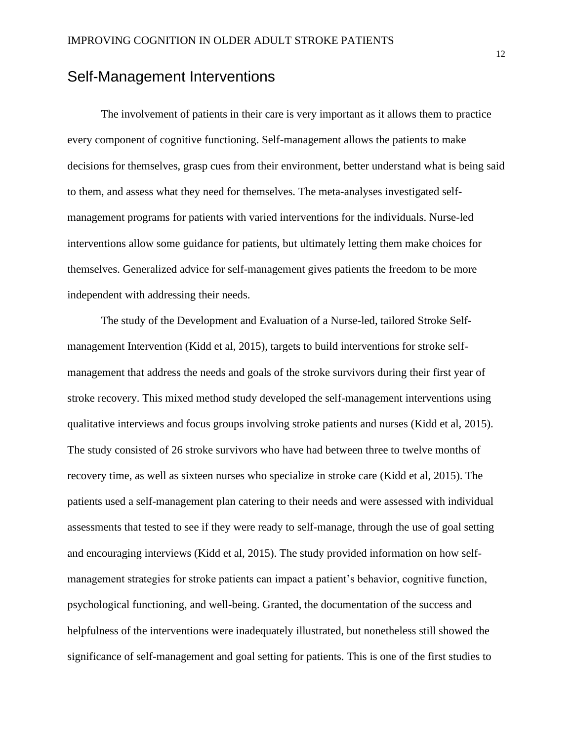## <span id="page-12-0"></span>Self-Management Interventions

The involvement of patients in their care is very important as it allows them to practice every component of cognitive functioning. Self-management allows the patients to make decisions for themselves, grasp cues from their environment, better understand what is being said to them, and assess what they need for themselves. The meta-analyses investigated selfmanagement programs for patients with varied interventions for the individuals. Nurse-led interventions allow some guidance for patients, but ultimately letting them make choices for themselves. Generalized advice for self-management gives patients the freedom to be more independent with addressing their needs.

The study of the Development and Evaluation of a Nurse-led, tailored Stroke Selfmanagement Intervention (Kidd et al, 2015), targets to build interventions for stroke selfmanagement that address the needs and goals of the stroke survivors during their first year of stroke recovery. This mixed method study developed the self-management interventions using qualitative interviews and focus groups involving stroke patients and nurses (Kidd et al, 2015). The study consisted of 26 stroke survivors who have had between three to twelve months of recovery time, as well as sixteen nurses who specialize in stroke care (Kidd et al, 2015). The patients used a self-management plan catering to their needs and were assessed with individual assessments that tested to see if they were ready to self-manage, through the use of goal setting and encouraging interviews (Kidd et al, 2015). The study provided information on how selfmanagement strategies for stroke patients can impact a patient's behavior, cognitive function, psychological functioning, and well-being. Granted, the documentation of the success and helpfulness of the interventions were inadequately illustrated, but nonetheless still showed the significance of self-management and goal setting for patients. This is one of the first studies to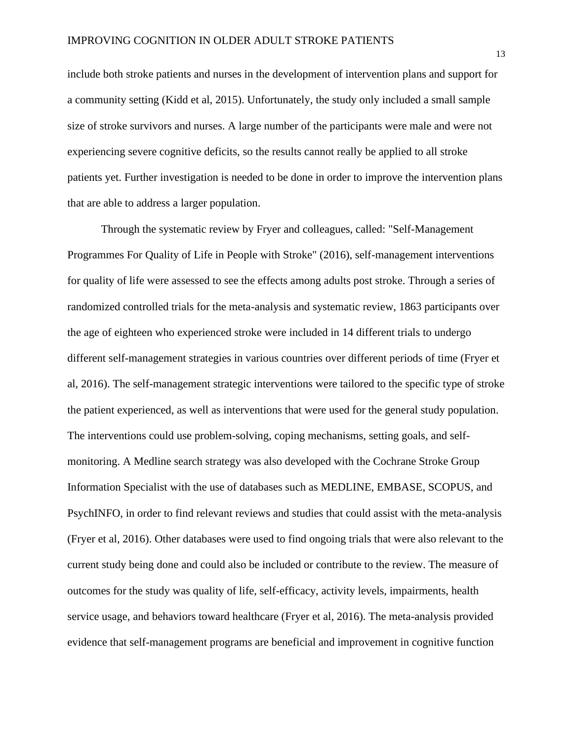include both stroke patients and nurses in the development of intervention plans and support for a community setting (Kidd et al, 2015). Unfortunately, the study only included a small sample size of stroke survivors and nurses. A large number of the participants were male and were not experiencing severe cognitive deficits, so the results cannot really be applied to all stroke patients yet. Further investigation is needed to be done in order to improve the intervention plans that are able to address a larger population.

Through the systematic review by Fryer and colleagues, called: "Self-Management Programmes For Quality of Life in People with Stroke" (2016), self-management interventions for quality of life were assessed to see the effects among adults post stroke. Through a series of randomized controlled trials for the meta-analysis and systematic review, 1863 participants over the age of eighteen who experienced stroke were included in 14 different trials to undergo different self-management strategies in various countries over different periods of time (Fryer et al, 2016). The self-management strategic interventions were tailored to the specific type of stroke the patient experienced, as well as interventions that were used for the general study population. The interventions could use problem-solving, coping mechanisms, setting goals, and selfmonitoring. A Medline search strategy was also developed with the Cochrane Stroke Group Information Specialist with the use of databases such as MEDLINE, EMBASE, SCOPUS, and PsychINFO, in order to find relevant reviews and studies that could assist with the meta-analysis (Fryer et al, 2016). Other databases were used to find ongoing trials that were also relevant to the current study being done and could also be included or contribute to the review. The measure of outcomes for the study was quality of life, self-efficacy, activity levels, impairments, health service usage, and behaviors toward healthcare (Fryer et al, 2016). The meta-analysis provided evidence that self-management programs are beneficial and improvement in cognitive function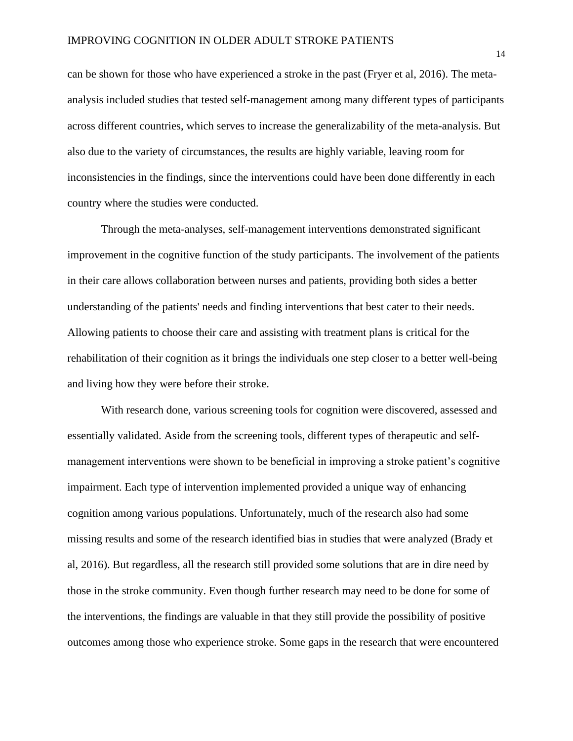can be shown for those who have experienced a stroke in the past (Fryer et al, 2016). The metaanalysis included studies that tested self-management among many different types of participants across different countries, which serves to increase the generalizability of the meta-analysis. But also due to the variety of circumstances, the results are highly variable, leaving room for inconsistencies in the findings, since the interventions could have been done differently in each country where the studies were conducted.

Through the meta-analyses, self-management interventions demonstrated significant improvement in the cognitive function of the study participants. The involvement of the patients in their care allows collaboration between nurses and patients, providing both sides a better understanding of the patients' needs and finding interventions that best cater to their needs. Allowing patients to choose their care and assisting with treatment plans is critical for the rehabilitation of their cognition as it brings the individuals one step closer to a better well-being and living how they were before their stroke.

With research done, various screening tools for cognition were discovered, assessed and essentially validated. Aside from the screening tools, different types of therapeutic and selfmanagement interventions were shown to be beneficial in improving a stroke patient's cognitive impairment. Each type of intervention implemented provided a unique way of enhancing cognition among various populations. Unfortunately, much of the research also had some missing results and some of the research identified bias in studies that were analyzed (Brady et al, 2016). But regardless, all the research still provided some solutions that are in dire need by those in the stroke community. Even though further research may need to be done for some of the interventions, the findings are valuable in that they still provide the possibility of positive outcomes among those who experience stroke. Some gaps in the research that were encountered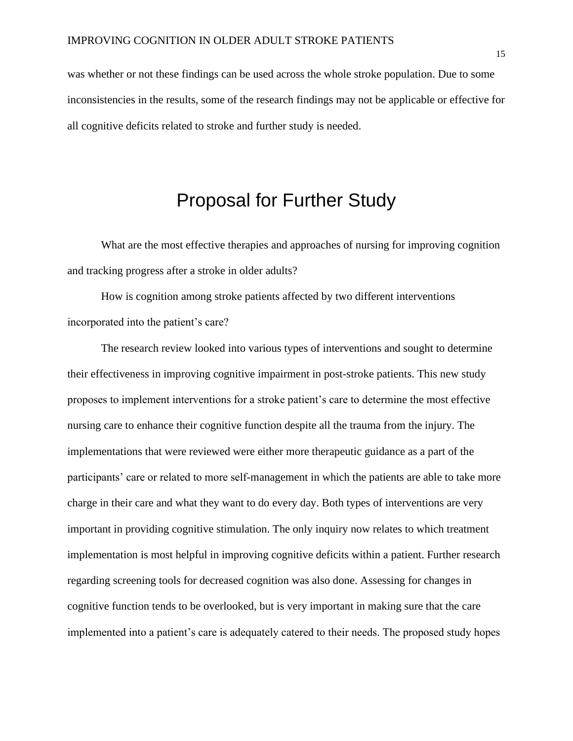was whether or not these findings can be used across the whole stroke population. Due to some inconsistencies in the results, some of the research findings may not be applicable or effective for all cognitive deficits related to stroke and further study is needed.

# Proposal for Further Study

<span id="page-15-0"></span>What are the most effective therapies and approaches of nursing for improving cognition and tracking progress after a stroke in older adults?

How is cognition among stroke patients affected by two different interventions incorporated into the patient's care?

The research review looked into various types of interventions and sought to determine their effectiveness in improving cognitive impairment in post-stroke patients. This new study proposes to implement interventions for a stroke patient's care to determine the most effective nursing care to enhance their cognitive function despite all the trauma from the injury. The implementations that were reviewed were either more therapeutic guidance as a part of the participants' care or related to more self-management in which the patients are able to take more charge in their care and what they want to do every day. Both types of interventions are very important in providing cognitive stimulation. The only inquiry now relates to which treatment implementation is most helpful in improving cognitive deficits within a patient. Further research regarding screening tools for decreased cognition was also done. Assessing for changes in cognitive function tends to be overlooked, but is very important in making sure that the care implemented into a patient's care is adequately catered to their needs. The proposed study hopes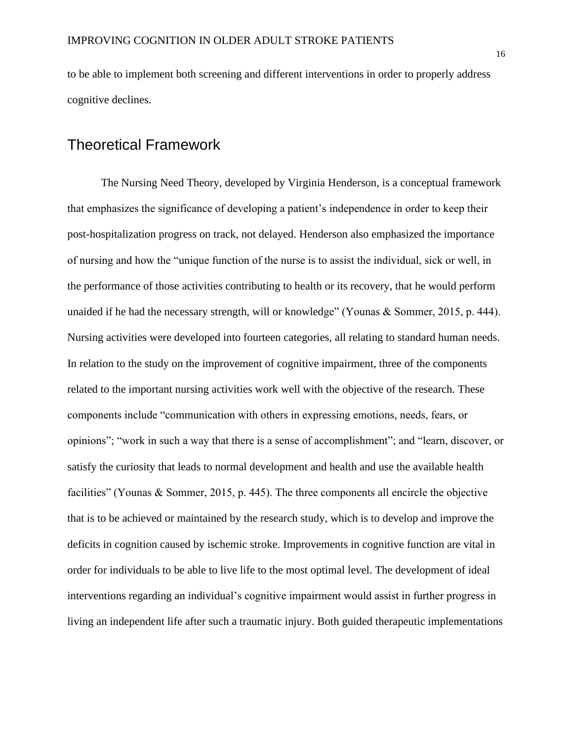to be able to implement both screening and different interventions in order to properly address cognitive declines.

## <span id="page-16-0"></span>Theoretical Framework

The Nursing Need Theory, developed by Virginia Henderson, is a conceptual framework that emphasizes the significance of developing a patient's independence in order to keep their post-hospitalization progress on track, not delayed. Henderson also emphasized the importance of nursing and how the "unique function of the nurse is to assist the individual, sick or well, in the performance of those activities contributing to health or its recovery, that he would perform unaided if he had the necessary strength, will or knowledge" (Younas & Sommer, 2015, p. 444). Nursing activities were developed into fourteen categories, all relating to standard human needs. In relation to the study on the improvement of cognitive impairment, three of the components related to the important nursing activities work well with the objective of the research. These components include "communication with others in expressing emotions, needs, fears, or opinions"; "work in such a way that there is a sense of accomplishment"; and "learn, discover, or satisfy the curiosity that leads to normal development and health and use the available health facilities" (Younas & Sommer, 2015, p. 445). The three components all encircle the objective that is to be achieved or maintained by the research study, which is to develop and improve the deficits in cognition caused by ischemic stroke. Improvements in cognitive function are vital in order for individuals to be able to live life to the most optimal level. The development of ideal interventions regarding an individual's cognitive impairment would assist in further progress in living an independent life after such a traumatic injury. Both guided therapeutic implementations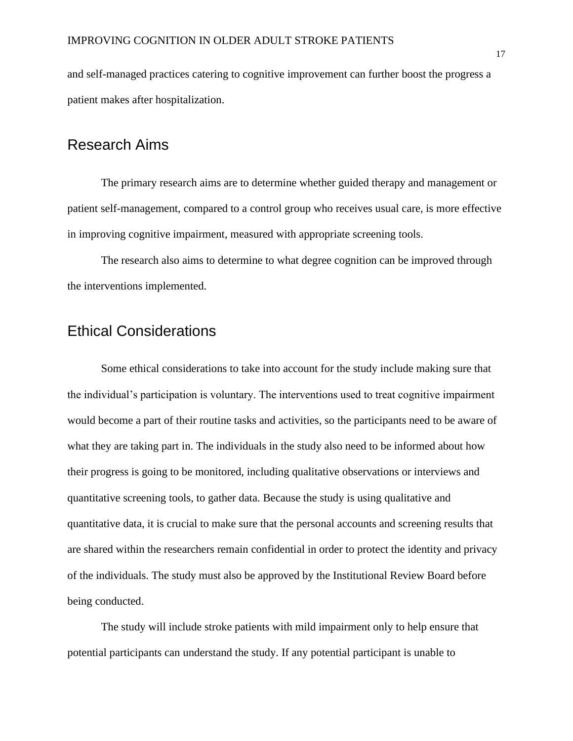and self-managed practices catering to cognitive improvement can further boost the progress a patient makes after hospitalization.

## <span id="page-17-0"></span>Research Aims

The primary research aims are to determine whether guided therapy and management or patient self-management, compared to a control group who receives usual care, is more effective in improving cognitive impairment, measured with appropriate screening tools.

The research also aims to determine to what degree cognition can be improved through the interventions implemented.

# <span id="page-17-1"></span>Ethical Considerations

Some ethical considerations to take into account for the study include making sure that the individual's participation is voluntary. The interventions used to treat cognitive impairment would become a part of their routine tasks and activities, so the participants need to be aware of what they are taking part in. The individuals in the study also need to be informed about how their progress is going to be monitored, including qualitative observations or interviews and quantitative screening tools, to gather data. Because the study is using qualitative and quantitative data, it is crucial to make sure that the personal accounts and screening results that are shared within the researchers remain confidential in order to protect the identity and privacy of the individuals. The study must also be approved by the Institutional Review Board before being conducted.

The study will include stroke patients with mild impairment only to help ensure that potential participants can understand the study. If any potential participant is unable to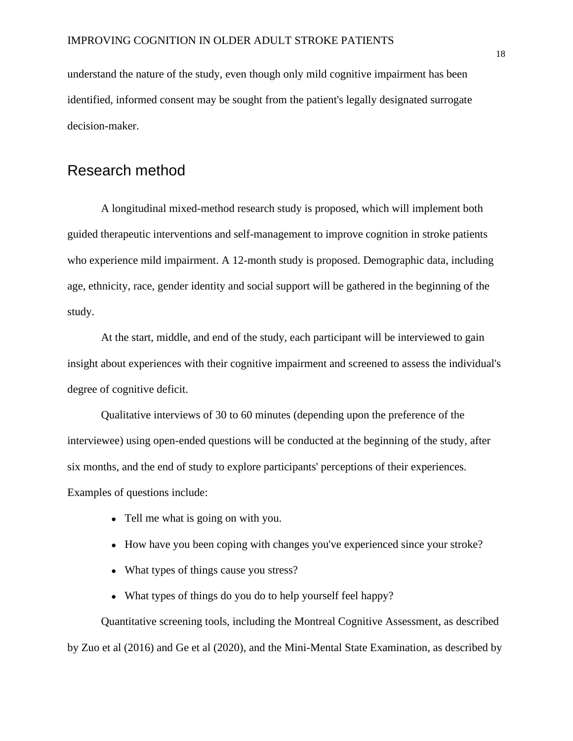understand the nature of the study, even though only mild cognitive impairment has been identified, informed consent may be sought from the patient's legally designated surrogate decision-maker.

## <span id="page-18-0"></span>Research method

A longitudinal mixed-method research study is proposed, which will implement both guided therapeutic interventions and self-management to improve cognition in stroke patients who experience mild impairment. A 12-month study is proposed. Demographic data, including age, ethnicity, race, gender identity and social support will be gathered in the beginning of the study.

At the start, middle, and end of the study, each participant will be interviewed to gain insight about experiences with their cognitive impairment and screened to assess the individual's degree of cognitive deficit.

Qualitative interviews of 30 to 60 minutes (depending upon the preference of the interviewee) using open-ended questions will be conducted at the beginning of the study, after six months, and the end of study to explore participants' perceptions of their experiences. Examples of questions include:

- Tell me what is going on with you.
- How have you been coping with changes you've experienced since your stroke?
- What types of things cause you stress?
- What types of things do you do to help yourself feel happy?

Quantitative screening tools, including the Montreal Cognitive Assessment, as described by Zuo et al (2016) and Ge et al (2020), and the Mini-Mental State Examination, as described by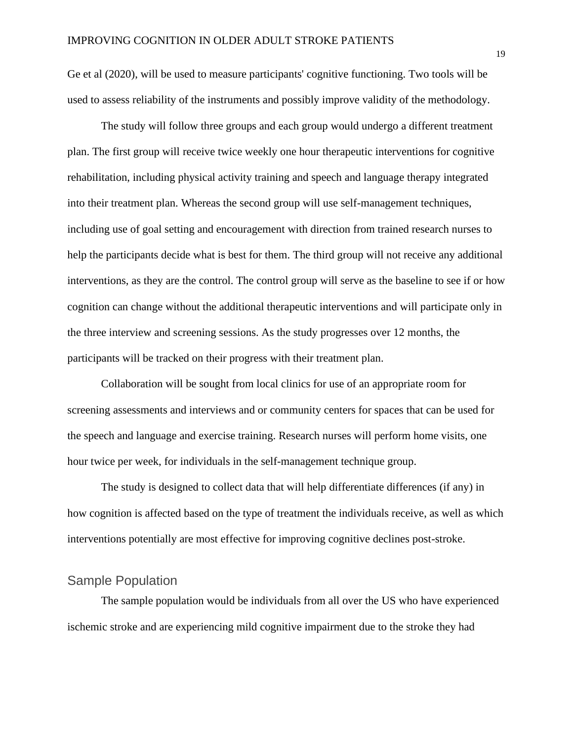Ge et al (2020), will be used to measure participants' cognitive functioning. Two tools will be used to assess reliability of the instruments and possibly improve validity of the methodology.

The study will follow three groups and each group would undergo a different treatment plan. The first group will receive twice weekly one hour therapeutic interventions for cognitive rehabilitation, including physical activity training and speech and language therapy integrated into their treatment plan. Whereas the second group will use self-management techniques, including use of goal setting and encouragement with direction from trained research nurses to help the participants decide what is best for them. The third group will not receive any additional interventions, as they are the control. The control group will serve as the baseline to see if or how cognition can change without the additional therapeutic interventions and will participate only in the three interview and screening sessions. As the study progresses over 12 months, the participants will be tracked on their progress with their treatment plan.

Collaboration will be sought from local clinics for use of an appropriate room for screening assessments and interviews and or community centers for spaces that can be used for the speech and language and exercise training. Research nurses will perform home visits, one hour twice per week, for individuals in the self-management technique group.

The study is designed to collect data that will help differentiate differences (if any) in how cognition is affected based on the type of treatment the individuals receive, as well as which interventions potentially are most effective for improving cognitive declines post-stroke.

### <span id="page-19-0"></span>Sample Population

The sample population would be individuals from all over the US who have experienced ischemic stroke and are experiencing mild cognitive impairment due to the stroke they had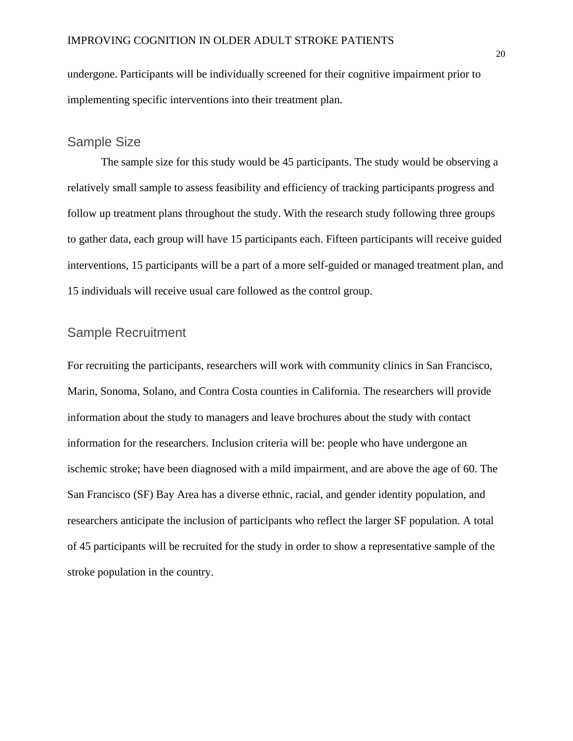undergone. Participants will be individually screened for their cognitive impairment prior to implementing specific interventions into their treatment plan.

### <span id="page-20-0"></span>Sample Size

The sample size for this study would be 45 participants. The study would be observing a relatively small sample to assess feasibility and efficiency of tracking participants progress and follow up treatment plans throughout the study. With the research study following three groups to gather data, each group will have 15 participants each. Fifteen participants will receive guided interventions, 15 participants will be a part of a more self-guided or managed treatment plan, and 15 individuals will receive usual care followed as the control group.

### <span id="page-20-1"></span>Sample Recruitment

For recruiting the participants, researchers will work with community clinics in San Francisco, Marin, Sonoma, Solano, and Contra Costa counties in California. The researchers will provide information about the study to managers and leave brochures about the study with contact information for the researchers. Inclusion criteria will be: people who have undergone an ischemic stroke; have been diagnosed with a mild impairment, and are above the age of 60. The San Francisco (SF) Bay Area has a diverse ethnic, racial, and gender identity population, and researchers anticipate the inclusion of participants who reflect the larger SF population. A total of 45 participants will be recruited for the study in order to show a representative sample of the stroke population in the country.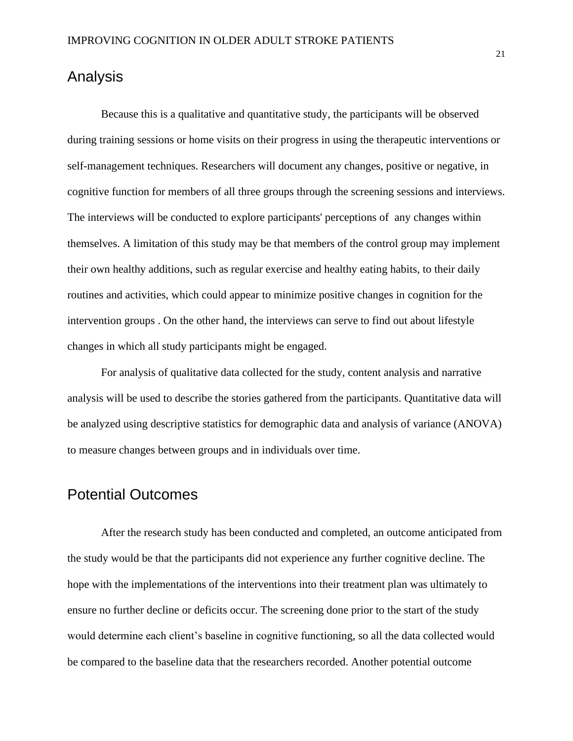## <span id="page-21-0"></span>Analysis

Because this is a qualitative and quantitative study, the participants will be observed during training sessions or home visits on their progress in using the therapeutic interventions or self-management techniques. Researchers will document any changes, positive or negative, in cognitive function for members of all three groups through the screening sessions and interviews. The interviews will be conducted to explore participants' perceptions of any changes within themselves. A limitation of this study may be that members of the control group may implement their own healthy additions, such as regular exercise and healthy eating habits, to their daily routines and activities, which could appear to minimize positive changes in cognition for the intervention groups . On the other hand, the interviews can serve to find out about lifestyle changes in which all study participants might be engaged.

For analysis of qualitative data collected for the study, content analysis and narrative analysis will be used to describe the stories gathered from the participants. Quantitative data will be analyzed using descriptive statistics for demographic data and analysis of variance (ANOVA) to measure changes between groups and in individuals over time.

## <span id="page-21-1"></span>Potential Outcomes

After the research study has been conducted and completed, an outcome anticipated from the study would be that the participants did not experience any further cognitive decline. The hope with the implementations of the interventions into their treatment plan was ultimately to ensure no further decline or deficits occur. The screening done prior to the start of the study would determine each client's baseline in cognitive functioning, so all the data collected would be compared to the baseline data that the researchers recorded. Another potential outcome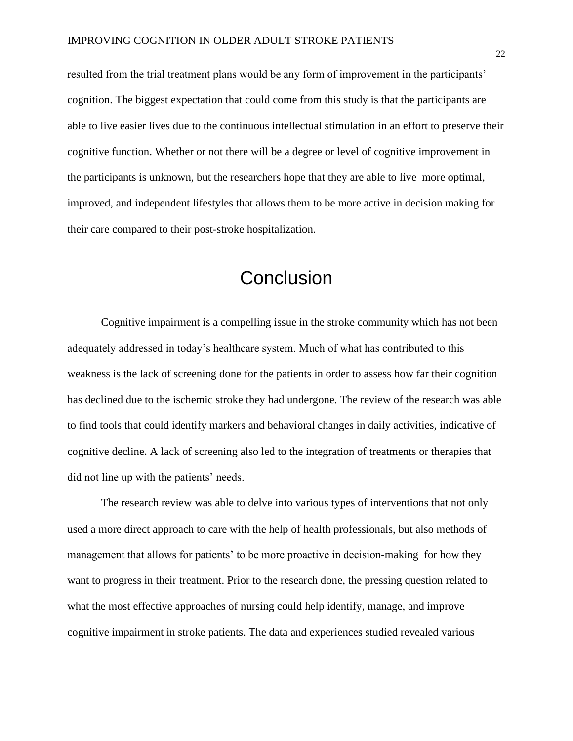resulted from the trial treatment plans would be any form of improvement in the participants' cognition. The biggest expectation that could come from this study is that the participants are able to live easier lives due to the continuous intellectual stimulation in an effort to preserve their cognitive function. Whether or not there will be a degree or level of cognitive improvement in the participants is unknown, but the researchers hope that they are able to live more optimal, improved, and independent lifestyles that allows them to be more active in decision making for their care compared to their post-stroke hospitalization.

# **Conclusion**

<span id="page-22-0"></span>Cognitive impairment is a compelling issue in the stroke community which has not been adequately addressed in today's healthcare system. Much of what has contributed to this weakness is the lack of screening done for the patients in order to assess how far their cognition has declined due to the ischemic stroke they had undergone. The review of the research was able to find tools that could identify markers and behavioral changes in daily activities, indicative of cognitive decline. A lack of screening also led to the integration of treatments or therapies that did not line up with the patients' needs.

The research review was able to delve into various types of interventions that not only used a more direct approach to care with the help of health professionals, but also methods of management that allows for patients' to be more proactive in decision-making for how they want to progress in their treatment. Prior to the research done, the pressing question related to what the most effective approaches of nursing could help identify, manage, and improve cognitive impairment in stroke patients. The data and experiences studied revealed various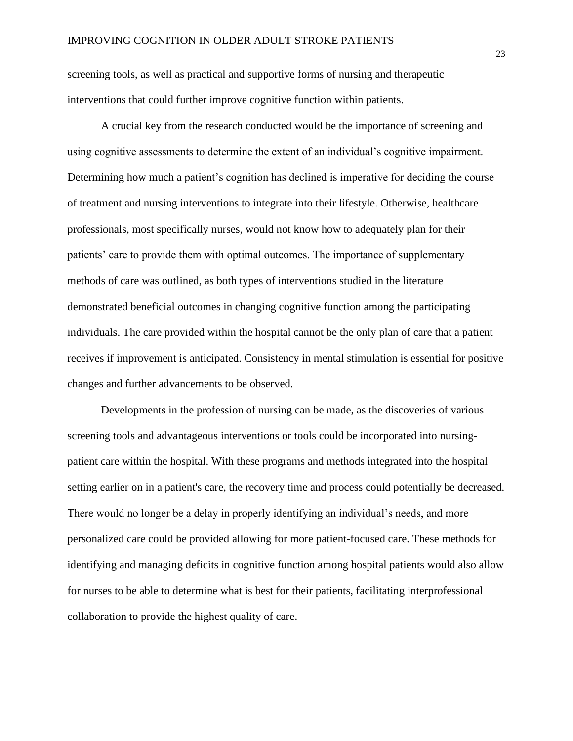screening tools, as well as practical and supportive forms of nursing and therapeutic interventions that could further improve cognitive function within patients.

A crucial key from the research conducted would be the importance of screening and using cognitive assessments to determine the extent of an individual's cognitive impairment. Determining how much a patient's cognition has declined is imperative for deciding the course of treatment and nursing interventions to integrate into their lifestyle. Otherwise, healthcare professionals, most specifically nurses, would not know how to adequately plan for their patients' care to provide them with optimal outcomes. The importance of supplementary methods of care was outlined, as both types of interventions studied in the literature demonstrated beneficial outcomes in changing cognitive function among the participating individuals. The care provided within the hospital cannot be the only plan of care that a patient receives if improvement is anticipated. Consistency in mental stimulation is essential for positive changes and further advancements to be observed.

Developments in the profession of nursing can be made, as the discoveries of various screening tools and advantageous interventions or tools could be incorporated into nursingpatient care within the hospital. With these programs and methods integrated into the hospital setting earlier on in a patient's care, the recovery time and process could potentially be decreased. There would no longer be a delay in properly identifying an individual's needs, and more personalized care could be provided allowing for more patient-focused care. These methods for identifying and managing deficits in cognitive function among hospital patients would also allow for nurses to be able to determine what is best for their patients, facilitating interprofessional collaboration to provide the highest quality of care.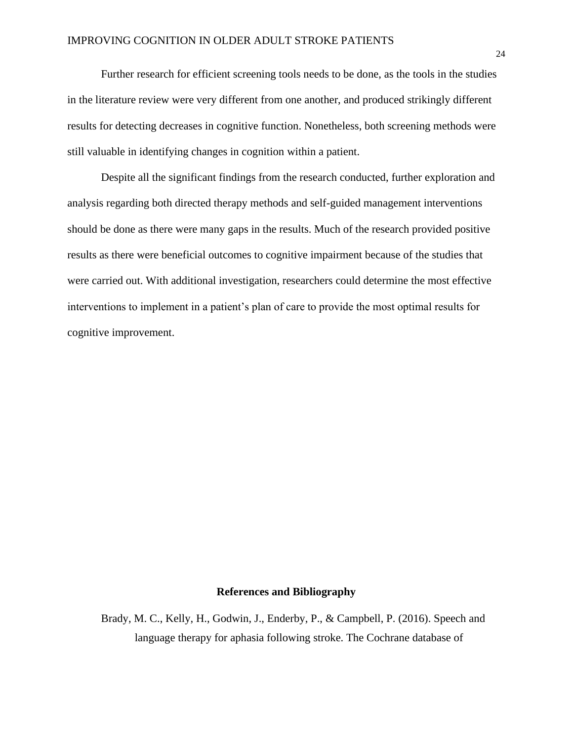Further research for efficient screening tools needs to be done, as the tools in the studies in the literature review were very different from one another, and produced strikingly different results for detecting decreases in cognitive function. Nonetheless, both screening methods were still valuable in identifying changes in cognition within a patient.

Despite all the significant findings from the research conducted, further exploration and analysis regarding both directed therapy methods and self-guided management interventions should be done as there were many gaps in the results. Much of the research provided positive results as there were beneficial outcomes to cognitive impairment because of the studies that were carried out. With additional investigation, researchers could determine the most effective interventions to implement in a patient's plan of care to provide the most optimal results for cognitive improvement.

#### **References and Bibliography**

Brady, M. C., Kelly, H., Godwin, J., Enderby, P., & Campbell, P. (2016). Speech and language therapy for aphasia following stroke. The Cochrane database of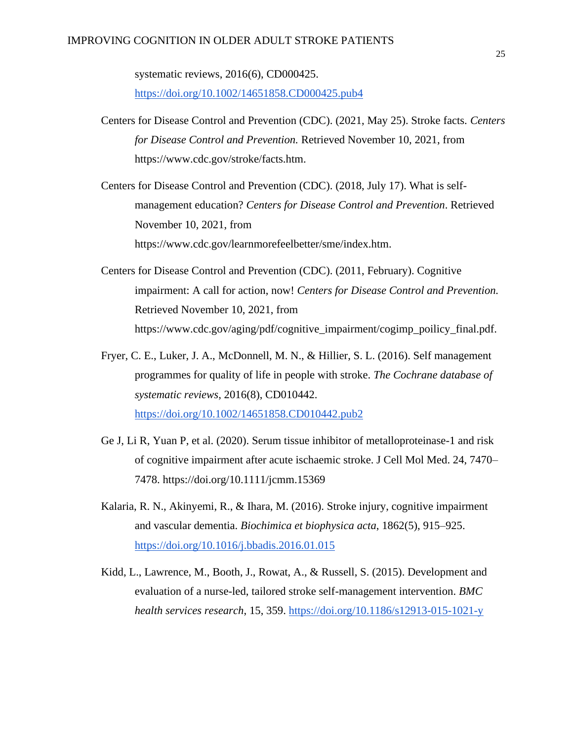#### IMPROVING COGNITION IN OLDER ADULT STROKE PATIENTS

systematic reviews, 2016(6), CD000425. <https://doi.org/10.1002/14651858.CD000425.pub4>

Centers for Disease Control and Prevention (CDC). (2021, May 25). Stroke facts. *Centers for Disease Control and Prevention.* Retrieved November 10, 2021, from https://www.cdc.gov/stroke/facts.htm.

Centers for Disease Control and Prevention (CDC). (2018, July 17). What is selfmanagement education? *Centers for Disease Control and Prevention*. Retrieved November 10, 2021, from https://www.cdc.gov/learnmorefeelbetter/sme/index.htm.

- Centers for Disease Control and Prevention (CDC). (2011, February). Cognitive impairment: A call for action, now! *Centers for Disease Control and Prevention.* Retrieved November 10, 2021, from https://www.cdc.gov/aging/pdf/cognitive\_impairment/cogimp\_poilicy\_final.pdf.
- Fryer, C. E., Luker, J. A., McDonnell, M. N., & Hillier, S. L. (2016). Self management programmes for quality of life in people with stroke. *The Cochrane database of systematic reviews*, 2016(8), CD010442. <https://doi.org/10.1002/14651858.CD010442.pub2>
- Ge J, Li R, Yuan P, et al. (2020). Serum tissue inhibitor of metalloproteinase-1 and risk of cognitive impairment after acute ischaemic stroke. J Cell Mol Med. 24, 7470– 7478. https://doi.org/10.1111/jcmm.15369
- Kalaria, R. N., Akinyemi, R., & Ihara, M. (2016). Stroke injury, cognitive impairment and vascular dementia. *Biochimica et biophysica acta*, 1862(5), 915–925. <https://doi.org/10.1016/j.bbadis.2016.01.015>
- Kidd, L., Lawrence, M., Booth, J., Rowat, A., & Russell, S. (2015). Development and evaluation of a nurse-led, tailored stroke self-management intervention. *BMC health services research*, 15, 359.<https://doi.org/10.1186/s12913-015-1021-y>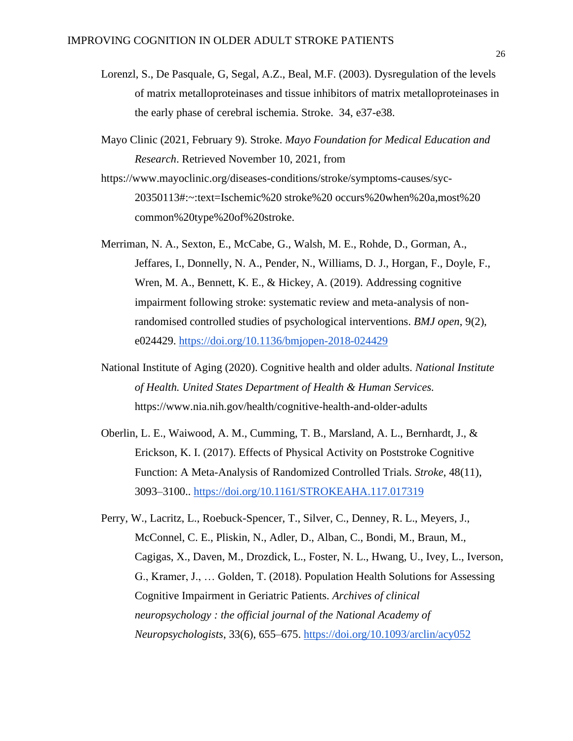- Lorenzl, S., De Pasquale, G, Segal, A.Z., Beal, M.F. (2003). Dysregulation of the levels of matrix metalloproteinases and tissue inhibitors of matrix metalloproteinases in the early phase of cerebral ischemia. Stroke. 34, e37-e38.
- Mayo Clinic (2021, February 9). Stroke. *Mayo Foundation for Medical Education and Research*. Retrieved November 10, 2021, from
- https://www.mayoclinic.org/diseases-conditions/stroke/symptoms-causes/syc-20350113#:~:text=Ischemic%20 stroke%20 occurs%20when%20a,most%20 common%20type%20of%20stroke.
- Merriman, N. A., Sexton, E., McCabe, G., Walsh, M. E., Rohde, D., Gorman, A., Jeffares, I., Donnelly, N. A., Pender, N., Williams, D. J., Horgan, F., Doyle, F., Wren, M. A., Bennett, K. E., & Hickey, A. (2019). Addressing cognitive impairment following stroke: systematic review and meta-analysis of nonrandomised controlled studies of psychological interventions. *BMJ open*, 9(2), e024429.<https://doi.org/10.1136/bmjopen-2018-024429>
- National Institute of Aging (2020). Cognitive health and older adults. *National Institute of Health. United States Department of Health & Human Services.*  https://www.nia.nih.gov/health/cognitive-health-and-older-adults
- Oberlin, L. E., Waiwood, A. M., Cumming, T. B., Marsland, A. L., Bernhardt, J., & Erickson, K. I. (2017). Effects of Physical Activity on Poststroke Cognitive Function: A Meta-Analysis of Randomized Controlled Trials. *Stroke*, 48(11), 3093–3100..<https://doi.org/10.1161/STROKEAHA.117.017319>
- Perry, W., Lacritz, L., Roebuck-Spencer, T., Silver, C., Denney, R. L., Meyers, J., McConnel, C. E., Pliskin, N., Adler, D., Alban, C., Bondi, M., Braun, M., Cagigas, X., Daven, M., Drozdick, L., Foster, N. L., Hwang, U., Ivey, L., Iverson, G., Kramer, J., … Golden, T. (2018). Population Health Solutions for Assessing Cognitive Impairment in Geriatric Patients. *Archives of clinical neuropsychology : the official journal of the National Academy of Neuropsychologists*, 33(6), 655–675.<https://doi.org/10.1093/arclin/acy052>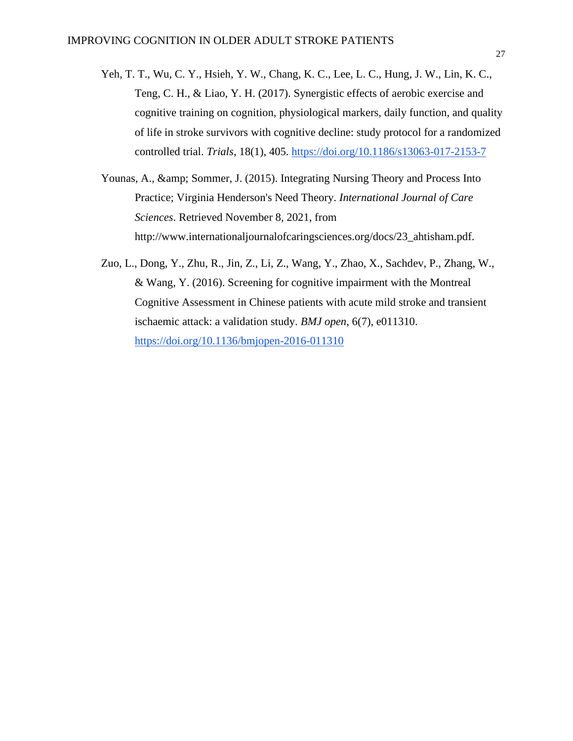- Yeh, T. T., Wu, C. Y., Hsieh, Y. W., Chang, K. C., Lee, L. C., Hung, J. W., Lin, K. C., Teng, C. H., & Liao, Y. H. (2017). Synergistic effects of aerobic exercise and cognitive training on cognition, physiological markers, daily function, and quality of life in stroke survivors with cognitive decline: study protocol for a randomized controlled trial. *Trials*, 18(1), 405.<https://doi.org/10.1186/s13063-017-2153-7>
- Younas, A., & amp; Sommer, J. (2015). Integrating Nursing Theory and Process Into Practice; Virginia Henderson's Need Theory. *International Journal of Care Sciences*. Retrieved November 8, 2021, from http://www.internationaljournalofcaringsciences.org/docs/23\_ahtisham.pdf.
- Zuo, L., Dong, Y., Zhu, R., Jin, Z., Li, Z., Wang, Y., Zhao, X., Sachdev, P., Zhang, W., & Wang, Y. (2016). Screening for cognitive impairment with the Montreal Cognitive Assessment in Chinese patients with acute mild stroke and transient ischaemic attack: a validation study. *BMJ open*, 6(7), e011310. <https://doi.org/10.1136/bmjopen-2016-011310>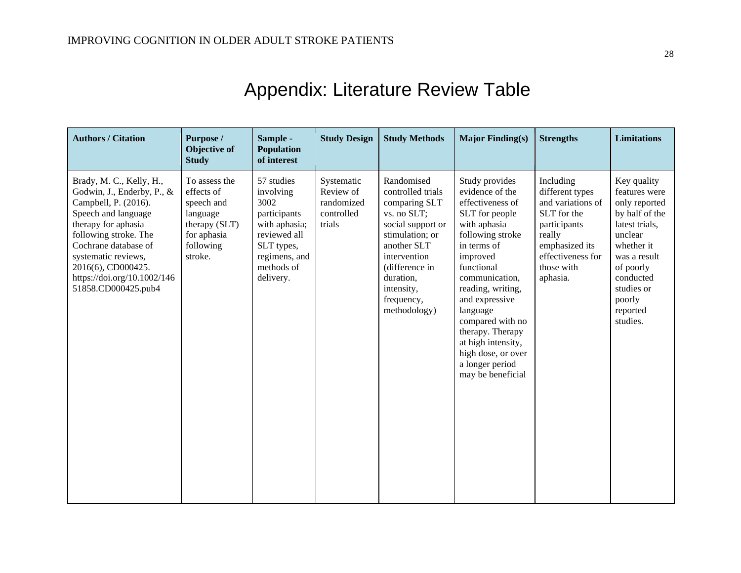<span id="page-28-0"></span>

| <b>Authors / Citation</b>                                                                                                                                                                                                                                                        | Purpose /<br>Objective of<br><b>Study</b>                                                                     | Sample -<br><b>Population</b><br>of interest                                                                                               | <b>Study Design</b>                                           | <b>Study Methods</b>                                                                                                                                                                                              | <b>Major Finding(s)</b>                                                                                                                                                                                                                                                                                                                               | <b>Strengths</b>                                                                                                                                            | <b>Limitations</b>                                                                                                                                                                                   |
|----------------------------------------------------------------------------------------------------------------------------------------------------------------------------------------------------------------------------------------------------------------------------------|---------------------------------------------------------------------------------------------------------------|--------------------------------------------------------------------------------------------------------------------------------------------|---------------------------------------------------------------|-------------------------------------------------------------------------------------------------------------------------------------------------------------------------------------------------------------------|-------------------------------------------------------------------------------------------------------------------------------------------------------------------------------------------------------------------------------------------------------------------------------------------------------------------------------------------------------|-------------------------------------------------------------------------------------------------------------------------------------------------------------|------------------------------------------------------------------------------------------------------------------------------------------------------------------------------------------------------|
| Brady, M. C., Kelly, H.,<br>Godwin, J., Enderby, P., &<br>Campbell, P. (2016).<br>Speech and language<br>therapy for aphasia<br>following stroke. The<br>Cochrane database of<br>systematic reviews,<br>2016(6), CD000425.<br>https://doi.org/10.1002/146<br>51858.CD000425.pub4 | To assess the<br>effects of<br>speech and<br>language<br>therapy (SLT)<br>for aphasia<br>following<br>stroke. | 57 studies<br>involving<br>3002<br>participants<br>with aphasia;<br>reviewed all<br>SLT types,<br>regimens, and<br>methods of<br>delivery. | Systematic<br>Review of<br>randomized<br>controlled<br>trials | Randomised<br>controlled trials<br>comparing SLT<br>vs. no SLT;<br>social support or<br>stimulation; or<br>another SLT<br>intervention<br>(difference in<br>duration,<br>intensity,<br>frequency,<br>methodology) | Study provides<br>evidence of the<br>effectiveness of<br>SLT for people<br>with aphasia<br>following stroke<br>in terms of<br>improved<br>functional<br>communication,<br>reading, writing,<br>and expressive<br>language<br>compared with no<br>therapy. Therapy<br>at high intensity,<br>high dose, or over<br>a longer period<br>may be beneficial | Including<br>different types<br>and variations of<br>SLT for the<br>participants<br>really<br>emphasized its<br>effectiveness for<br>those with<br>aphasia. | Key quality<br>features were<br>only reported<br>by half of the<br>latest trials,<br>unclear<br>whether it<br>was a result<br>of poorly<br>conducted<br>studies or<br>poorly<br>reported<br>studies. |

# Appendix: Literature Review Table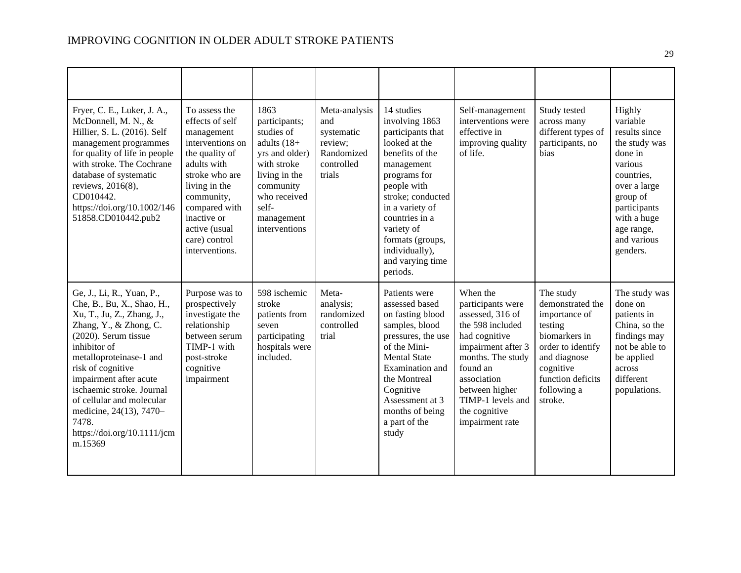| Fryer, C. E., Luker, J. A.,<br>McDonnell, M. N., &<br>Hillier, S. L. (2016). Self<br>management programmes<br>for quality of life in people<br>with stroke. The Cochrane<br>database of systematic<br>reviews, 2016(8),<br>CD010442.<br>https://doi.org/10.1002/146<br>51858.CD010442.pub2                                                                                | To assess the<br>effects of self<br>management<br>interventions on<br>the quality of<br>adults with<br>stroke who are<br>living in the<br>community,<br>compared with<br>inactive or<br>active (usual<br>care) control<br>interventions. | 1863<br>participants;<br>studies of<br>adults $(18+$<br>yrs and older)<br>with stroke<br>living in the<br>community<br>who received<br>self-<br>management<br>interventions | Meta-analysis<br>and<br>systematic<br>review;<br>Randomized<br>controlled<br>trials | 14 studies<br>involving 1863<br>participants that<br>looked at the<br>benefits of the<br>management<br>programs for<br>people with<br>stroke; conducted<br>in a variety of<br>countries in a<br>variety of<br>formats (groups,<br>individually),<br>and varying time<br>periods. | Self-management<br>interventions were<br>effective in<br>improving quality<br>of life.                                                                                                                                                  | Study tested<br>across many<br>different types of<br>participants, no<br><b>bias</b>                                                                                        | Highly<br>variable<br>results since<br>the study was<br>done in<br>various<br>countries,<br>over a large<br>group of<br>participants<br>with a huge<br>age range,<br>and various<br>genders. |
|---------------------------------------------------------------------------------------------------------------------------------------------------------------------------------------------------------------------------------------------------------------------------------------------------------------------------------------------------------------------------|------------------------------------------------------------------------------------------------------------------------------------------------------------------------------------------------------------------------------------------|-----------------------------------------------------------------------------------------------------------------------------------------------------------------------------|-------------------------------------------------------------------------------------|----------------------------------------------------------------------------------------------------------------------------------------------------------------------------------------------------------------------------------------------------------------------------------|-----------------------------------------------------------------------------------------------------------------------------------------------------------------------------------------------------------------------------------------|-----------------------------------------------------------------------------------------------------------------------------------------------------------------------------|----------------------------------------------------------------------------------------------------------------------------------------------------------------------------------------------|
| Ge, J., Li, R., Yuan, P.,<br>Che, B., Bu, X., Shao, H.,<br>Xu, T., Ju, Z., Zhang, J.,<br>Zhang, Y., & Zhong, C.<br>(2020). Serum tissue<br>inhibitor of<br>metalloproteinase-1 and<br>risk of cognitive<br>impairment after acute<br>ischaemic stroke. Journal<br>of cellular and molecular<br>medicine, 24(13), 7470-<br>7478.<br>https://doi.org/10.1111/jcm<br>m.15369 | Purpose was to<br>prospectively<br>investigate the<br>relationship<br>between serum<br>TIMP-1 with<br>post-stroke<br>cognitive<br>impairment                                                                                             | 598 ischemic<br>stroke<br>patients from<br>seven<br>participating<br>hospitals were<br>included.                                                                            | Meta-<br>analysis;<br>randomized<br>controlled<br>trial                             | Patients were<br>assessed based<br>on fasting blood<br>samples, blood<br>pressures, the use<br>of the Mini-<br><b>Mental State</b><br>Examination and<br>the Montreal<br>Cognitive<br>Assessment at 3<br>months of being<br>a part of the<br>study                               | When the<br>participants were<br>assessed, 316 of<br>the 598 included<br>had cognitive<br>impairment after 3<br>months. The study<br>found an<br>association<br>between higher<br>TIMP-1 levels and<br>the cognitive<br>impairment rate | The study<br>demonstrated the<br>importance of<br>testing<br>biomarkers in<br>order to identify<br>and diagnose<br>cognitive<br>function deficits<br>following a<br>stroke. | The study was<br>done on<br>patients in<br>China, so the<br>findings may<br>not be able to<br>be applied<br>across<br>different<br>populations.                                              |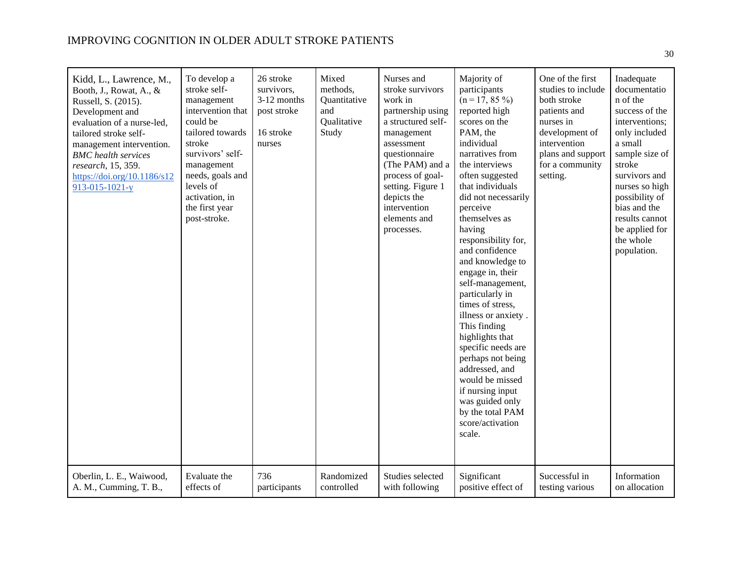### IMPROVING COGNITION IN OLDER ADULT STROKE PATIENTS

| Kidd, L., Lawrence, M.,<br>Booth, J., Rowat, A., &<br>Russell, S. (2015).<br>Development and<br>evaluation of a nurse-led,<br>tailored stroke self-<br>management intervention.<br><b>BMC</b> health services<br>research, 15, 359.<br>https://doi.org/10.1186/s12<br>$913 - 015 - 1021 - y$ | To develop a<br>stroke self-<br>management<br>intervention that<br>could be<br>tailored towards<br>stroke<br>survivors' self-<br>management<br>needs, goals and<br>levels of<br>activation, in<br>the first year<br>post-stroke. | 26 stroke<br>survivors,<br>3-12 months<br>post stroke<br>16 stroke<br>nurses | Mixed<br>methods,<br>Quantitative<br>and<br>Qualitative<br>Study | Nurses and<br>stroke survivors<br>work in<br>partnership using<br>a structured self-<br>management<br>assessment<br>questionnaire<br>(The PAM) and a<br>process of goal-<br>setting. Figure 1<br>depicts the<br>intervention<br>elements and<br>processes. | Majority of<br>participants<br>$(n = 17, 85\%)$<br>reported high<br>scores on the<br>PAM, the<br>individual<br>narratives from<br>the interviews<br>often suggested<br>that individuals<br>did not necessarily<br>perceive<br>themselves as<br>having<br>responsibility for,<br>and confidence<br>and knowledge to<br>engage in, their<br>self-management,<br>particularly in<br>times of stress,<br>illness or anxiety.<br>This finding<br>highlights that<br>specific needs are<br>perhaps not being<br>addressed, and<br>would be missed<br>if nursing input<br>was guided only<br>by the total PAM<br>score/activation<br>scale. | One of the first<br>studies to include<br>both stroke<br>patients and<br>nurses in<br>development of<br>intervention<br>plans and support<br>for a community<br>setting. | Inadequate<br>documentatio<br>n of the<br>success of the<br>interventions;<br>only included<br>a small<br>sample size of<br>stroke<br>survivors and<br>nurses so high<br>possibility of<br>bias and the<br>results cannot<br>be applied for<br>the whole<br>population. |
|----------------------------------------------------------------------------------------------------------------------------------------------------------------------------------------------------------------------------------------------------------------------------------------------|----------------------------------------------------------------------------------------------------------------------------------------------------------------------------------------------------------------------------------|------------------------------------------------------------------------------|------------------------------------------------------------------|------------------------------------------------------------------------------------------------------------------------------------------------------------------------------------------------------------------------------------------------------------|--------------------------------------------------------------------------------------------------------------------------------------------------------------------------------------------------------------------------------------------------------------------------------------------------------------------------------------------------------------------------------------------------------------------------------------------------------------------------------------------------------------------------------------------------------------------------------------------------------------------------------------|--------------------------------------------------------------------------------------------------------------------------------------------------------------------------|-------------------------------------------------------------------------------------------------------------------------------------------------------------------------------------------------------------------------------------------------------------------------|
| Oberlin, L. E., Waiwood,                                                                                                                                                                                                                                                                     | Evaluate the                                                                                                                                                                                                                     | 736                                                                          | Randomized                                                       | Studies selected                                                                                                                                                                                                                                           | Significant                                                                                                                                                                                                                                                                                                                                                                                                                                                                                                                                                                                                                          | Successful in                                                                                                                                                            | Information                                                                                                                                                                                                                                                             |
| A. M., Cumming, T. B.,                                                                                                                                                                                                                                                                       | effects of                                                                                                                                                                                                                       | participants                                                                 | controlled                                                       | with following                                                                                                                                                                                                                                             | positive effect of                                                                                                                                                                                                                                                                                                                                                                                                                                                                                                                                                                                                                   | testing various                                                                                                                                                          | on allocation                                                                                                                                                                                                                                                           |

30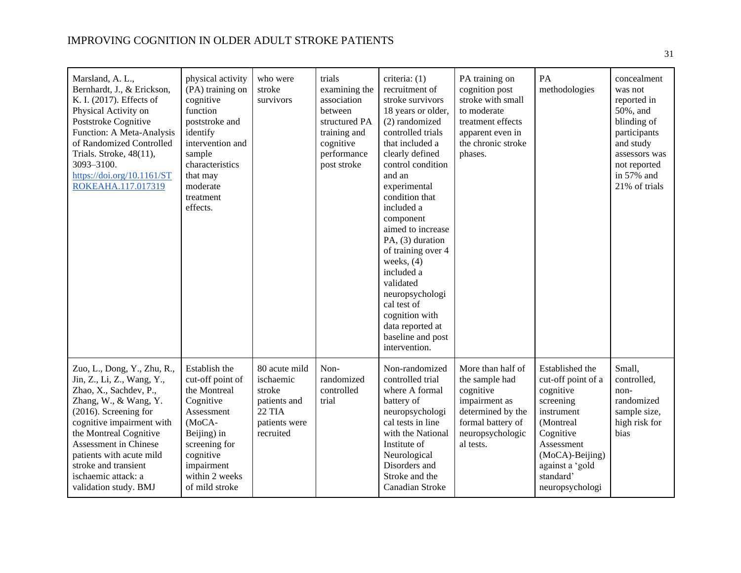| Marsland, A. L.,<br>Bernhardt, J., & Erickson,<br>K. I. (2017). Effects of<br>Physical Activity on<br>Poststroke Cognitive<br>Function: A Meta-Analysis<br>of Randomized Controlled<br>Trials. Stroke, 48(11),<br>3093-3100.<br>https://doi.org/10.1161/ST<br>ROKEAHA.117.017319                                          | physical activity<br>(PA) training on<br>cognitive<br>function<br>poststroke and<br>identify<br>intervention and<br>sample<br>characteristics<br>that may<br>moderate<br>treatment<br>effects. | who were<br>stroke<br>survivors                                                                     | trials<br>examining the<br>association<br>between<br>structured PA<br>training and<br>cognitive<br>performance<br>post stroke | criteria: (1)<br>recruitment of<br>stroke survivors<br>18 years or older,<br>(2) randomized<br>controlled trials<br>that included a<br>clearly defined<br>control condition<br>and an<br>experimental<br>condition that<br>included a<br>component<br>aimed to increase<br>PA, (3) duration<br>of training over 4<br>weeks, $(4)$<br>included a<br>validated<br>neuropsychologi<br>cal test of<br>cognition with<br>data reported at<br>baseline and post<br>intervention. | PA training on<br>cognition post<br>stroke with small<br>to moderate<br>treatment effects<br>apparent even in<br>the chronic stroke<br>phases. | PA<br>methodologies                                                                                                                                                                         | concealment<br>was not<br>reported in<br>50%, and<br>blinding of<br>participants<br>and study<br>assessors was<br>not reported<br>in 57% and<br>21% of trials |
|---------------------------------------------------------------------------------------------------------------------------------------------------------------------------------------------------------------------------------------------------------------------------------------------------------------------------|------------------------------------------------------------------------------------------------------------------------------------------------------------------------------------------------|-----------------------------------------------------------------------------------------------------|-------------------------------------------------------------------------------------------------------------------------------|----------------------------------------------------------------------------------------------------------------------------------------------------------------------------------------------------------------------------------------------------------------------------------------------------------------------------------------------------------------------------------------------------------------------------------------------------------------------------|------------------------------------------------------------------------------------------------------------------------------------------------|---------------------------------------------------------------------------------------------------------------------------------------------------------------------------------------------|---------------------------------------------------------------------------------------------------------------------------------------------------------------|
| Zuo, L., Dong, Y., Zhu, R.,<br>Jin, Z., Li, Z., Wang, Y.,<br>Zhao, X., Sachdev, P.,<br>Zhang, W., & Wang, Y.<br>(2016). Screening for<br>cognitive impairment with<br>the Montreal Cognitive<br>Assessment in Chinese<br>patients with acute mild<br>stroke and transient<br>ischaemic attack: a<br>validation study. BMJ | Establish the<br>cut-off point of<br>the Montreal<br>Cognitive<br>Assessment<br>(MoCA-<br>Beijing) in<br>screening for<br>cognitive<br>impairment<br>within 2 weeks<br>of mild stroke          | 80 acute mild<br>ischaemic<br>stroke<br>patients and<br><b>22 TIA</b><br>patients were<br>recruited | Non-<br>randomized<br>controlled<br>trial                                                                                     | Non-randomized<br>controlled trial<br>where A formal<br>battery of<br>neuropsychologi<br>cal tests in line<br>with the National<br>Institute of<br>Neurological<br>Disorders and<br>Stroke and the<br>Canadian Stroke                                                                                                                                                                                                                                                      | More than half of<br>the sample had<br>cognitive<br>impairment as<br>determined by the<br>formal battery of<br>neuropsychologic<br>al tests.   | Established the<br>cut-off point of a<br>cognitive<br>screening<br>instrument<br>(Montreal<br>Cognitive<br>Assessment<br>(MoCA)-Beijing)<br>against a 'gold<br>standard'<br>neuropsychologi | Small,<br>controlled,<br>non-<br>randomized<br>sample size,<br>high risk for<br>bias                                                                          |

31